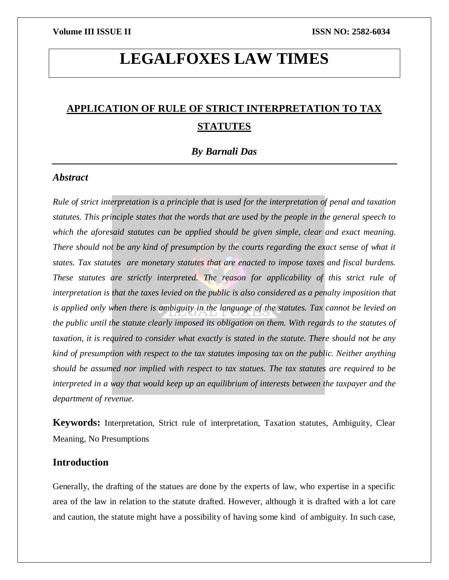# **LEGALFOXES LAW TIMES**

## **APPLICATION OF RULE OF STRICT INTERPRETATION TO TAX STATUTES**

*By Barnali Das*

### *Abstract*

*Rule of strict interpretation is a principle that is used for the interpretation of penal and taxation statutes. This principle states that the words that are used by the people in the general speech to which the aforesaid statutes can be applied should be given simple, clear and exact meaning. There should not be any kind of presumption by the courts regarding the exact sense of what it states. Tax statutes are monetary statutes that are enacted to impose taxes and fiscal burdens. These statutes are strictly interpreted. The reason for applicability of this strict rule of interpretation is that the taxes levied on the public is also considered as a penalty imposition that is applied only when there is ambiguity in the language of the statutes. Tax cannot be levied on the public until the statute clearly imposed its obligation on them. With regards to the statutes of taxation, it is required to consider what exactly is stated in the statute. There should not be any kind of presumption with respect to the tax statutes imposing tax on the public. Neither anything should be assumed nor implied with respect to tax statues. The tax statutes are required to be interpreted in a way that would keep up an equilibrium of interests between the taxpayer and the department of revenue.* 

**Keywords:** Interpretation, Strict rule of interpretation, Taxation statutes, Ambiguity, Clear Meaning, No Presumptions

### **Introduction**

Generally, the drafting of the statues are done by the experts of law, who expertise in a specific area of the law in relation to the statute drafted. However, although it is drafted with a lot care and caution, the statute might have a possibility of having some kind of ambiguity. In such case,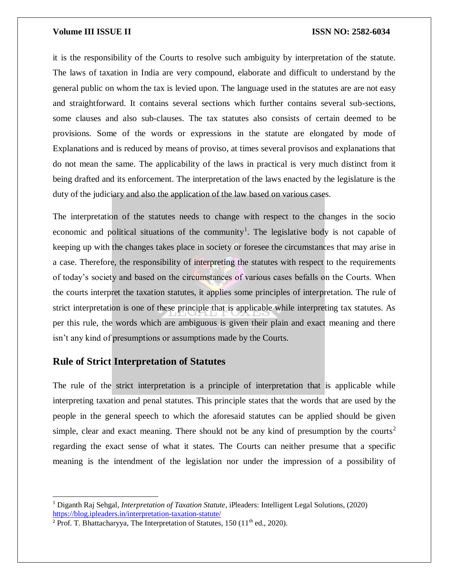it is the responsibility of the Courts to resolve such ambiguity by interpretation of the statute. The laws of taxation in India are very compound, elaborate and difficult to understand by the general public on whom the tax is levied upon. The language used in the statutes are are not easy and straightforward. It contains several sections which further contains several sub-sections, some clauses and also sub-clauses. The tax statutes also consists of certain deemed to be provisions. Some of the words or expressions in the statute are elongated by mode of Explanations and is reduced by means of proviso, at times several provisos and explanations that do not mean the same. The applicability of the laws in practical is very much distinct from it being drafted and its enforcement. The interpretation of the laws enacted by the legislature is the duty of the judiciary and also the application of the law based on various cases.

The interpretation of the statutes needs to change with respect to the changes in the socio economic and political situations of the community<sup>1</sup>. The legislative body is not capable of keeping up with the changes takes place in society or foresee the circumstances that may arise in a case. Therefore, the responsibility of interpreting the statutes with respect to the requirements of today's society and based on the circumstances of various cases befalls on the Courts. When the courts interpret the taxation statutes, it applies some principles of interpretation. The rule of strict interpretation is one of these principle that is applicable while interpreting tax statutes. As per this rule, the words which are ambiguous is given their plain and exact meaning and there isn't any kind of presumptions or assumptions made by the Courts.

### **Rule of Strict Interpretation of Statutes**

 $\overline{a}$ 

The rule of the strict interpretation is a principle of interpretation that is applicable while interpreting taxation and penal statutes. This principle states that the words that are used by the people in the general speech to which the aforesaid statutes can be applied should be given simple, clear and exact meaning. There should not be any kind of presumption by the courts<sup>2</sup> regarding the exact sense of what it states. The Courts can neither presume that a specific meaning is the intendment of the legislation nor under the impression of a possibility of

<sup>1</sup> Diganth Raj Sehgal, *Interpretation of Taxation Statute*, iPleaders: Intelligent Legal Solutions, (2020) <https://blog.ipleaders.in/interpretation-taxation-statute/>

<sup>&</sup>lt;sup>2</sup> Prof. T. Bhattacharyya, The Interpretation of Statutes,  $150 (11<sup>th</sup>$  ed.,  $2020$ ).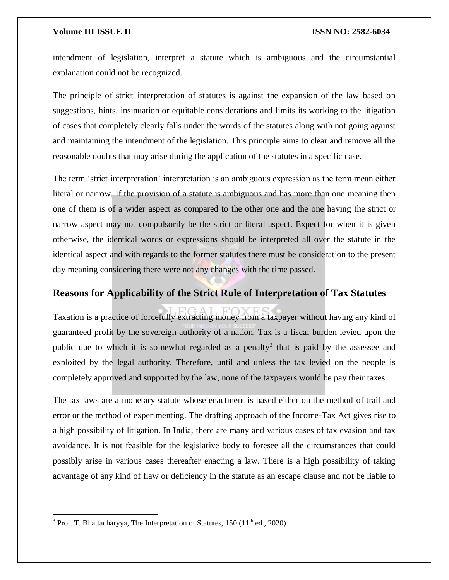intendment of legislation, interpret a statute which is ambiguous and the circumstantial explanation could not be recognized.

The principle of strict interpretation of statutes is against the expansion of the law based on suggestions, hints, insinuation or equitable considerations and limits its working to the litigation of cases that completely clearly falls under the words of the statutes along with not going against and maintaining the intendment of the legislation. This principle aims to clear and remove all the reasonable doubts that may arise during the application of the statutes in a specific case.

The term 'strict interpretation' interpretation is an ambiguous expression as the term mean either literal or narrow. If the provision of a statute is ambiguous and has more than one meaning then one of them is of a wider aspect as compared to the other one and the one having the strict or narrow aspect may not compulsorily be the strict or literal aspect. Expect for when it is given otherwise, the identical words or expressions should be interpreted all over the statute in the identical aspect and with regards to the former statutes there must be consideration to the present day meaning considering there were not any changes with the time passed.

### **Reasons for Applicability of the Strict Rule of Interpretation of Tax Statutes**

Taxation is a practice of forcefully extracting money from a taxpayer without having any kind of guaranteed profit by the sovereign authority of a nation. Tax is a fiscal burden levied upon the public due to which it is somewhat regarded as a penalty<sup>3</sup> that is paid by the assessee and exploited by the legal authority. Therefore, until and unless the tax levied on the people is completely approved and supported by the law, none of the taxpayers would be pay their taxes.

The tax laws are a monetary statute whose enactment is based either on the method of trail and error or the method of experimenting. The drafting approach of the Income-Tax Act gives rise to a high possibility of litigation. In India, there are many and various cases of tax evasion and tax avoidance. It is not feasible for the legislative body to foresee all the circumstances that could possibly arise in various cases thereafter enacting a law. There is a high possibility of taking advantage of any kind of flaw or deficiency in the statute as an escape clause and not be liable to

 $\overline{a}$ 

<sup>&</sup>lt;sup>3</sup> Prof. T. Bhattacharyya, The Interpretation of Statutes,  $150 (11<sup>th</sup>$  ed.,  $2020$ ).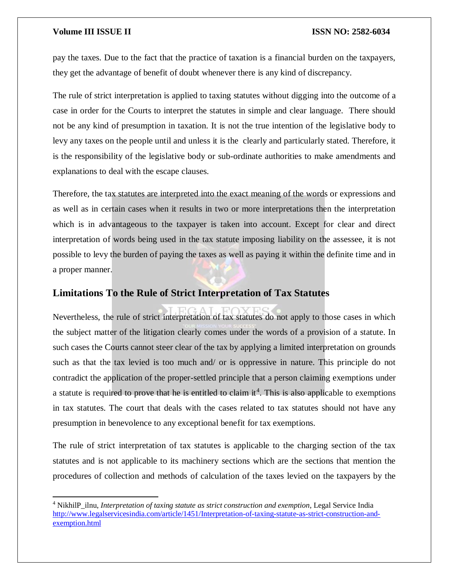pay the taxes. Due to the fact that the practice of taxation is a financial burden on the taxpayers, they get the advantage of benefit of doubt whenever there is any kind of discrepancy.

The rule of strict interpretation is applied to taxing statutes without digging into the outcome of a case in order for the Courts to interpret the statutes in simple and clear language. There should not be any kind of presumption in taxation. It is not the true intention of the legislative body to levy any taxes on the people until and unless it is the clearly and particularly stated. Therefore, it is the responsibility of the legislative body or sub-ordinate authorities to make amendments and explanations to deal with the escape clauses.

Therefore, the tax statutes are interpreted into the exact meaning of the words or expressions and as well as in certain cases when it results in two or more interpretations then the interpretation which is in advantageous to the taxpayer is taken into account. Except for clear and direct interpretation of words being used in the tax statute imposing liability on the assessee, it is not possible to levy the burden of paying the taxes as well as paying it within the definite time and in a proper manner.

### **Limitations To the Rule of Strict Interpretation of Tax Statutes**

Nevertheless, the rule of strict interpretation of tax statutes do not apply to those cases in which the subject matter of the litigation clearly comes under the words of a provision of a statute. In such cases the Courts cannot steer clear of the tax by applying a limited interpretation on grounds such as that the tax levied is too much and/ or is oppressive in nature. This principle do not contradict the application of the proper-settled principle that a person claiming exemptions under a statute is required to prove that he is entitled to claim it<sup>4</sup>. This is also applicable to exemptions in tax statutes. The court that deals with the cases related to tax statutes should not have any presumption in benevolence to any exceptional benefit for tax exemptions.

The rule of strict interpretation of tax statutes is applicable to the charging section of the tax statutes and is not applicable to its machinery sections which are the sections that mention the procedures of collection and methods of calculation of the taxes levied on the taxpayers by the

 $\overline{a}$ <sup>4</sup> NikhilP\_ilnu, *Interpretation of taxing statute as strict construction and exemption*, Legal Service India [http://www.legalservicesindia.com/article/1451/Interpretation-of-taxing-statute-as-strict-construction-and](http://www.legalservicesindia.com/article/1451/Interpretation-of-taxing-statute-as-strict-construction-and-exemption.html)[exemption.html](http://www.legalservicesindia.com/article/1451/Interpretation-of-taxing-statute-as-strict-construction-and-exemption.html)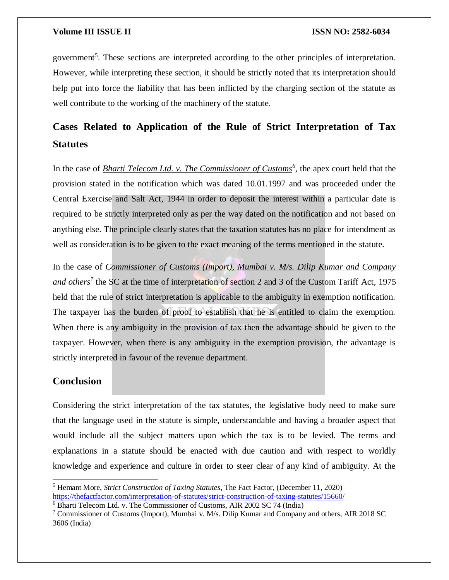government<sup>5</sup>. These sections are interpreted according to the other principles of interpretation. However, while interpreting these section, it should be strictly noted that its interpretation should help put into force the liability that has been inflicted by the charging section of the statute as well contribute to the working of the machinery of the statute.

## **Cases Related to Application of the Rule of Strict Interpretation of Tax Statutes**

In the case of *Bharti Telecom Ltd. v. The Commissioner of Customs<sup>6</sup>*, the apex court held that the provision stated in the notification which was dated 10.01.1997 and was proceeded under the Central Exercise and Salt Act, 1944 in order to deposit the interest within a particular date is required to be strictly interpreted only as per the way dated on the notification and not based on anything else. The principle clearly states that the taxation statutes has no place for intendment as well as consideration is to be given to the exact meaning of the terms mentioned in the statute.

In the case of *Commissioner of Customs (Import), Mumbai v. M/s. Dilip Kumar and Company and others<sup>7</sup>* the SC at the time of interpretation of section 2 and 3 of the Custom Tariff Act, 1975 held that the rule of strict interpretation is applicable to the ambiguity in exemption notification. The taxpayer has the burden of proof to establish that he is entitled to claim the exemption. When there is any ambiguity in the provision of tax then the advantage should be given to the taxpayer. However, when there is any ambiguity in the exemption provision, the advantage is strictly interpreted in favour of the revenue department.

### **Conclusion**

 $\overline{\phantom{a}}$ 

Considering the strict interpretation of the tax statutes, the legislative body need to make sure that the language used in the statute is simple, understandable and having a broader aspect that would include all the subject matters upon which the tax is to be levied. The terms and explanations in a statute should be enacted with due caution and with respect to worldly knowledge and experience and culture in order to steer clear of any kind of ambiguity. At the

<sup>5</sup> Hemant More, *Strict Construction of Taxing Statutes*, The Fact Factor, (December 11, 2020) <https://thefactfactor.com/interpretation-of-statutes/strict-construction-of-taxing-statutes/15660/>

<sup>&</sup>lt;sup>6</sup> Bharti Telecom Ltd. v. The Commissioner of Customs, AIR 2002 SC 74 (India)

<sup>&</sup>lt;sup>7</sup> Commissioner of Customs (Import), Mumbai v. M/s. Dilip Kumar and Company and others, AIR 2018 SC 3606 (India)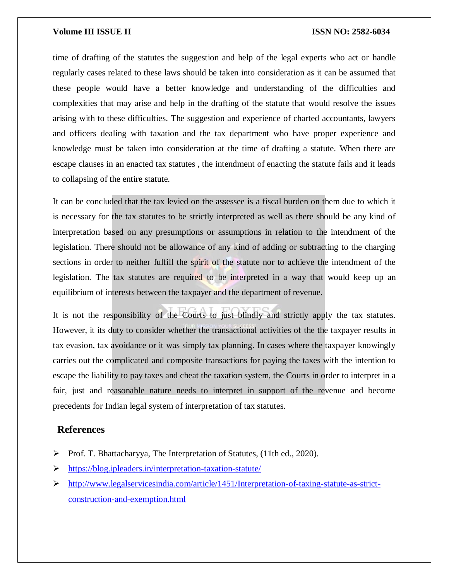time of drafting of the statutes the suggestion and help of the legal experts who act or handle regularly cases related to these laws should be taken into consideration as it can be assumed that these people would have a better knowledge and understanding of the difficulties and complexities that may arise and help in the drafting of the statute that would resolve the issues arising with to these difficulties. The suggestion and experience of charted accountants, lawyers and officers dealing with taxation and the tax department who have proper experience and knowledge must be taken into consideration at the time of drafting a statute. When there are escape clauses in an enacted tax statutes , the intendment of enacting the statute fails and it leads to collapsing of the entire statute.

It can be concluded that the tax levied on the assessee is a fiscal burden on them due to which it is necessary for the tax statutes to be strictly interpreted as well as there should be any kind of interpretation based on any presumptions or assumptions in relation to the intendment of the legislation. There should not be allowance of any kind of adding or subtracting to the charging sections in order to neither fulfill the spirit of the statute nor to achieve the intendment of the legislation. The tax statutes are required to be interpreted in a way that would keep up an equilibrium of interests between the taxpayer and the department of revenue.

It is not the responsibility of the Courts to just blindly and strictly apply the tax statutes. However, it its duty to consider whether the transactional activities of the the taxpayer results in tax evasion, tax avoidance or it was simply tax planning. In cases where the taxpayer knowingly carries out the complicated and composite transactions for paying the taxes with the intention to escape the liability to pay taxes and cheat the taxation system, the Courts in order to interpret in a fair, just and reasonable nature needs to interpret in support of the revenue and become precedents for Indian legal system of interpretation of tax statutes.

#### **References**

- Prof. T. Bhattacharyya, The Interpretation of Statutes, (11th ed., 2020).
- <https://blog.ipleaders.in/interpretation-taxation-statute/>
- [http://www.legalservicesindia.com/article/1451/Interpretation-of-taxing-statute-as-strict](http://www.legalservicesindia.com/article/1451/Interpretation-of-taxing-statute-as-strict-construction-and-exemption.html)[construction-and-exemption.html](http://www.legalservicesindia.com/article/1451/Interpretation-of-taxing-statute-as-strict-construction-and-exemption.html)